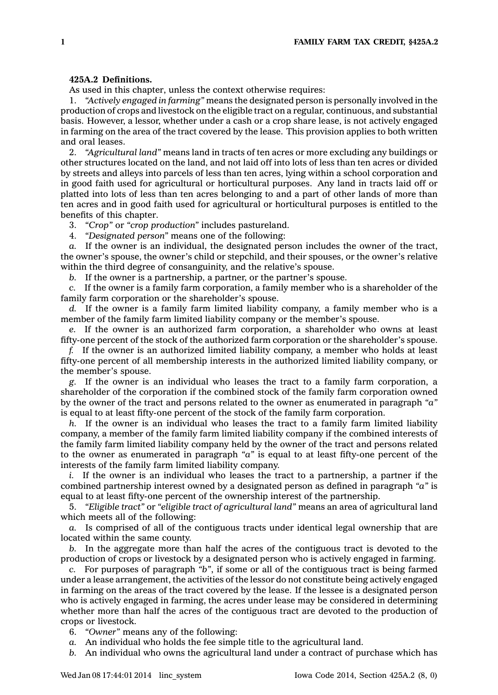## **425A.2 Definitions.**

As used in this chapter, unless the context otherwise requires:

1. *"Actively engaged in farming"* means the designated person is personally involved in the production of crops and livestock on the eligible tract on <sup>a</sup> regular, continuous, and substantial basis. However, <sup>a</sup> lessor, whether under <sup>a</sup> cash or <sup>a</sup> crop share lease, is not actively engaged in farming on the area of the tract covered by the lease. This provision applies to both written and oral leases.

2. *"Agricultural land"* means land in tracts of ten acres or more excluding any buildings or other structures located on the land, and not laid off into lots of less than ten acres or divided by streets and alleys into parcels of less than ten acres, lying within <sup>a</sup> school corporation and in good faith used for agricultural or horticultural purposes. Any land in tracts laid off or platted into lots of less than ten acres belonging to and <sup>a</sup> part of other lands of more than ten acres and in good faith used for agricultural or horticultural purposes is entitled to the benefits of this chapter.

3. *"Crop"* or *"crop production"* includes pastureland.

4. *"Designated person"* means one of the following:

*a.* If the owner is an individual, the designated person includes the owner of the tract, the owner's spouse, the owner's child or stepchild, and their spouses, or the owner's relative within the third degree of consanguinity, and the relative's spouse.

*b.* If the owner is <sup>a</sup> partnership, <sup>a</sup> partner, or the partner's spouse.

*c.* If the owner is <sup>a</sup> family farm corporation, <sup>a</sup> family member who is <sup>a</sup> shareholder of the family farm corporation or the shareholder's spouse.

*d.* If the owner is <sup>a</sup> family farm limited liability company, <sup>a</sup> family member who is <sup>a</sup> member of the family farm limited liability company or the member's spouse.

*e.* If the owner is an authorized farm corporation, <sup>a</sup> shareholder who owns at least fifty-one percent of the stock of the authorized farm corporation or the shareholder's spouse.

*f.* If the owner is an authorized limited liability company, <sup>a</sup> member who holds at least fifty-one percent of all membership interests in the authorized limited liability company, or the member's spouse.

*g.* If the owner is an individual who leases the tract to <sup>a</sup> family farm corporation, <sup>a</sup> shareholder of the corporation if the combined stock of the family farm corporation owned by the owner of the tract and persons related to the owner as enumerated in paragraph *"a"* is equal to at least fifty-one percent of the stock of the family farm corporation.

*h.* If the owner is an individual who leases the tract to <sup>a</sup> family farm limited liability company, <sup>a</sup> member of the family farm limited liability company if the combined interests of the family farm limited liability company held by the owner of the tract and persons related to the owner as enumerated in paragraph *"a"* is equal to at least fifty-one percent of the interests of the family farm limited liability company.

*i.* If the owner is an individual who leases the tract to <sup>a</sup> partnership, <sup>a</sup> partner if the combined partnership interest owned by <sup>a</sup> designated person as defined in paragraph *"a"* is equal to at least fifty-one percent of the ownership interest of the partnership.

5. *"Eligible tract"* or *"eligible tract of agricultural land"* means an area of agricultural land which meets all of the following:

*a.* Is comprised of all of the contiguous tracts under identical legal ownership that are located within the same county.

*b.* In the aggregate more than half the acres of the contiguous tract is devoted to the production of crops or livestock by <sup>a</sup> designated person who is actively engaged in farming.

*c.* For purposes of paragraph *"b"*, if some or all of the contiguous tract is being farmed under <sup>a</sup> lease arrangement, the activities of the lessor do not constitute being actively engaged in farming on the areas of the tract covered by the lease. If the lessee is <sup>a</sup> designated person who is actively engaged in farming, the acres under lease may be considered in determining whether more than half the acres of the contiguous tract are devoted to the production of crops or livestock.

- 6. *"Owner"* means any of the following:
- *a.* An individual who holds the fee simple title to the agricultural land.
- *b.* An individual who owns the agricultural land under <sup>a</sup> contract of purchase which has